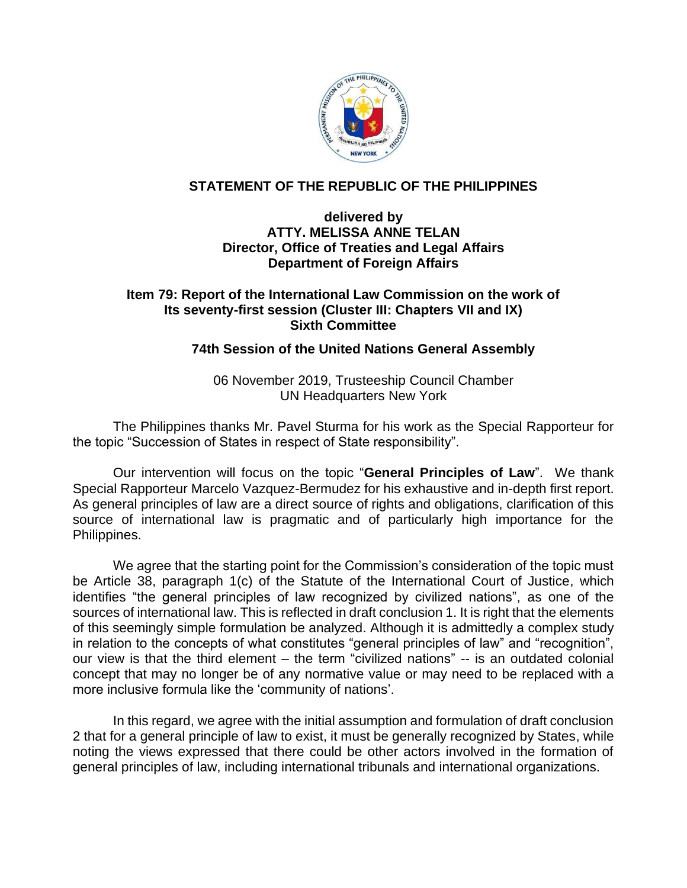

## **STATEMENT OF THE REPUBLIC OF THE PHILIPPINES**

## **delivered by ATTY. MELISSA ANNE TELAN Director, Office of Treaties and Legal Affairs Department of Foreign Affairs**

## **Item 79: Report of the International Law Commission on the work of Its seventy-first session (Cluster III: Chapters VII and IX) Sixth Committee**

## **74th Session of the United Nations General Assembly**

06 November 2019, Trusteeship Council Chamber UN Headquarters New York

The Philippines thanks Mr. Pavel Sturma for his work as the Special Rapporteur for the topic "Succession of States in respect of State responsibility".

Our intervention will focus on the topic "**General Principles of Law**". We thank Special Rapporteur Marcelo Vazquez-Bermudez for his exhaustive and in-depth first report. As general principles of law are a direct source of rights and obligations, clarification of this source of international law is pragmatic and of particularly high importance for the Philippines.

We agree that the starting point for the Commission's consideration of the topic must be Article 38, paragraph 1(c) of the Statute of the International Court of Justice, which identifies "the general principles of law recognized by civilized nations", as one of the sources of international law. This is reflected in draft conclusion 1. It is right that the elements of this seemingly simple formulation be analyzed. Although it is admittedly a complex study in relation to the concepts of what constitutes "general principles of law" and "recognition", our view is that the third element – the term "civilized nations" -- is an outdated colonial concept that may no longer be of any normative value or may need to be replaced with a more inclusive formula like the 'community of nations'.

In this regard, we agree with the initial assumption and formulation of draft conclusion 2 that for a general principle of law to exist, it must be generally recognized by States, while noting the views expressed that there could be other actors involved in the formation of general principles of law, including international tribunals and international organizations.